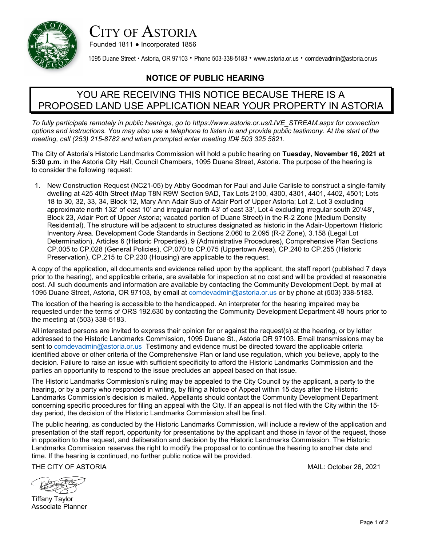

## CITY OF ASTORIA

Founded 1811 ● Incorporated 1856

1095 Duane Street • Astoria, OR 97103 • Phone 503-338-5183 • [www.astoria.or.us](http://www.astoria.or.us/) • comdevadmin@astoria.or.us

## **NOTICE OF PUBLIC HEARING**

## YOU ARE RECEIVING THIS NOTICE BECAUSE THERE IS A PROPOSED LAND USE APPLICATION NEAR YOUR PROPERTY IN ASTORIA

*To fully participate remotely in public hearings, go to [https://www.astoria.or.us/LIVE\\_STREAM.aspx](https://www.astoria.or.us/LIVE_STREAM.aspx) for connection options and instructions. You may also use a telephone to listen in and provide public testimony. At the start of the meeting, call (253) 215-8782 and when prompted enter meeting ID# 503 325 5821.* 

The City of Astoria's Historic Landmarks Commission will hold a public hearing on **Tuesday, November 16, 2021 at 5:30 p.m.** in the Astoria City Hall, Council Chambers, 1095 Duane Street, Astoria. The purpose of the hearing is to consider the following request:

1. New Construction Request (NC21-05) by Abby Goodman for Paul and Julie Carlisle to construct a single-family dwelling at 425 40th Street (Map T8N R9W Section 9AD, Tax Lots 2100, 4300, 4301, 4401, 4402, 4501; Lots 18 to 30, 32, 33, 34, Block 12, Mary Ann Adair Sub of Adair Port of Upper Astoria; Lot 2, Lot 3 excluding approximate north 132' of east 10' and irregular north 43' of east 33', Lot 4 excluding irregular south 20'/48', Block 23, Adair Port of Upper Astoria; vacated portion of Duane Street) in the R-2 Zone (Medium Density Residential). The structure will be adjacent to structures designated as historic in the Adair-Uppertown Historic Inventory Area. Development Code Standards in Sections 2.060 to 2.095 (R-2 Zone), 3.158 (Legal Lot Determination), Articles 6 (Historic Properties), 9 (Administrative Procedures), Comprehensive Plan Sections CP.005 to CP.028 (General Policies), CP.070 to CP.075 (Uppertown Area), CP.240 to CP.255 (Historic Preservation), CP.215 to CP.230 (Housing) are applicable to the request.

A copy of the application, all documents and evidence relied upon by the applicant, the staff report (published 7 days prior to the hearing), and applicable criteria, are available for inspection at no cost and will be provided at reasonable cost. All such documents and information are available by contacting the Community Development Dept. by mail at 1095 Duane Street, Astoria, OR 97103, by email at [comdevadmin@astoria.or.us](mailto:comdevadmin@astoria.or.us) or by phone at (503) 338-5183.

The location of the hearing is accessible to the handicapped. An interpreter for the hearing impaired may be requested under the terms of ORS 192.630 by contacting the Community Development Department 48 hours prior to the meeting at (503) 338-5183.

All interested persons are invited to express their opinion for or against the request(s) at the hearing, or by letter addressed to the Historic Landmarks Commission, 1095 Duane St., Astoria OR 97103. Email transmissions may be sent to [comdevadmin@astoria.or.us](mailto:comdevadmin@astoria.or.us) Testimony and evidence must be directed toward the applicable criteria identified above or other criteria of the Comprehensive Plan or land use regulation, which you believe, apply to the decision. Failure to raise an issue with sufficient specificity to afford the Historic Landmarks Commission and the parties an opportunity to respond to the issue precludes an appeal based on that issue.

The Historic Landmarks Commission's ruling may be appealed to the City Council by the applicant, a party to the hearing, or by a party who responded in writing, by filing a Notice of Appeal within 15 days after the Historic Landmarks Commission's decision is mailed. Appellants should contact the Community Development Department concerning specific procedures for filing an appeal with the City. If an appeal is not filed with the City within the 15 day period, the decision of the Historic Landmarks Commission shall be final.

The public hearing, as conducted by the Historic Landmarks Commission, will include a review of the application and presentation of the staff report, opportunity for presentations by the applicant and those in favor of the request, those in opposition to the request, and deliberation and decision by the Historic Landmarks Commission. The Historic Landmarks Commission reserves the right to modify the proposal or to continue the hearing to another date and time. If the hearing is continued, no further public notice will be provided.

THE CITY OF ASTORIA MAIL: October 26, 2021

Tiffany Taylor Associate Planner